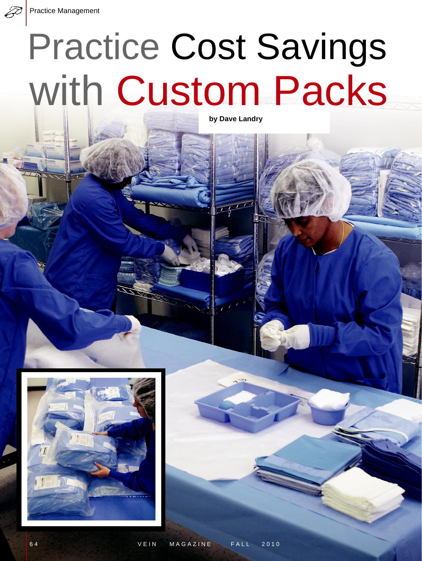## Practice Cost Savings with Custom Packs

**by Dave Landry**